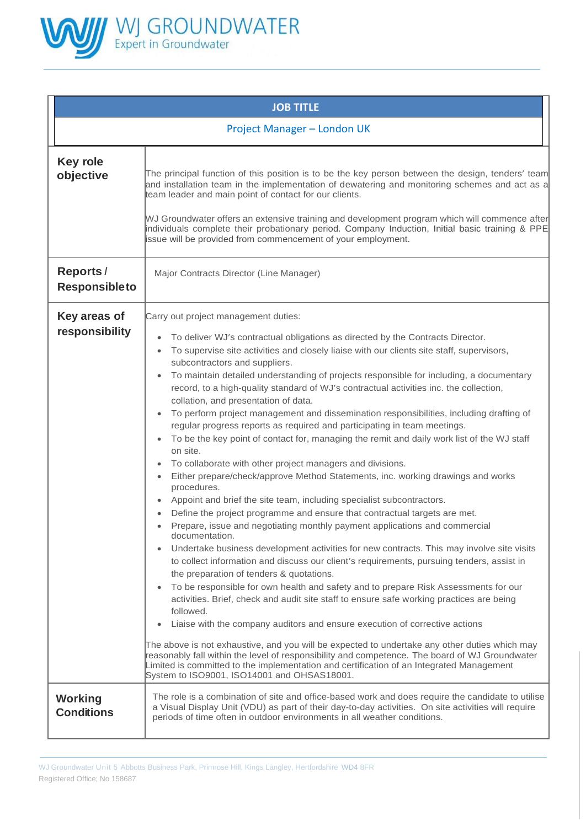

| <b>JOB TITLE</b>                         |                                                                                                                                                                                                                                                                                                                                                                                                                                                                                                                                                                                                                                                                                                                                                                                                                                                                                                                                                                                                                                                                                                                                                                                                                                                                                                                                                                                                                                                                                                                                                                                                                                                                                                                                                                                                                                                                                                                                                                                                                                                                                                                                                                                                                |  |  |  |
|------------------------------------------|----------------------------------------------------------------------------------------------------------------------------------------------------------------------------------------------------------------------------------------------------------------------------------------------------------------------------------------------------------------------------------------------------------------------------------------------------------------------------------------------------------------------------------------------------------------------------------------------------------------------------------------------------------------------------------------------------------------------------------------------------------------------------------------------------------------------------------------------------------------------------------------------------------------------------------------------------------------------------------------------------------------------------------------------------------------------------------------------------------------------------------------------------------------------------------------------------------------------------------------------------------------------------------------------------------------------------------------------------------------------------------------------------------------------------------------------------------------------------------------------------------------------------------------------------------------------------------------------------------------------------------------------------------------------------------------------------------------------------------------------------------------------------------------------------------------------------------------------------------------------------------------------------------------------------------------------------------------------------------------------------------------------------------------------------------------------------------------------------------------------------------------------------------------------------------------------------------------|--|--|--|
| Project Manager - London UK              |                                                                                                                                                                                                                                                                                                                                                                                                                                                                                                                                                                                                                                                                                                                                                                                                                                                                                                                                                                                                                                                                                                                                                                                                                                                                                                                                                                                                                                                                                                                                                                                                                                                                                                                                                                                                                                                                                                                                                                                                                                                                                                                                                                                                                |  |  |  |
| <b>Key role</b><br>objective             | The principal function of this position is to be the key person between the design, tenders' team<br>and installation team in the implementation of dewatering and monitoring schemes and act as a<br>team leader and main point of contact for our clients.<br>WJ Groundwater offers an extensive training and development program which will commence after<br>individuals complete their probationary period. Company Induction, Initial basic training & PPE<br>issue will be provided from commencement of your employment.                                                                                                                                                                                                                                                                                                                                                                                                                                                                                                                                                                                                                                                                                                                                                                                                                                                                                                                                                                                                                                                                                                                                                                                                                                                                                                                                                                                                                                                                                                                                                                                                                                                                               |  |  |  |
| <b>Reports /</b><br><b>Responsibleto</b> | Major Contracts Director (Line Manager)                                                                                                                                                                                                                                                                                                                                                                                                                                                                                                                                                                                                                                                                                                                                                                                                                                                                                                                                                                                                                                                                                                                                                                                                                                                                                                                                                                                                                                                                                                                                                                                                                                                                                                                                                                                                                                                                                                                                                                                                                                                                                                                                                                        |  |  |  |
| Key areas of<br>responsibility           | Carry out project management duties:<br>To deliver WJ's contractual obligations as directed by the Contracts Director.<br>$\bullet$<br>To supervise site activities and closely liaise with our clients site staff, supervisors,<br>$\bullet$<br>subcontractors and suppliers.<br>To maintain detailed understanding of projects responsible for including, a documentary<br>$\bullet$<br>record, to a high-quality standard of WJ's contractual activities inc. the collection,<br>collation, and presentation of data.<br>To perform project management and dissemination responsibilities, including drafting of<br>$\bullet$<br>regular progress reports as required and participating in team meetings.<br>To be the key point of contact for, managing the remit and daily work list of the WJ staff<br>$\bullet$<br>on site.<br>To collaborate with other project managers and divisions.<br>$\bullet$<br>Either prepare/check/approve Method Statements, inc. working drawings and works<br>$\bullet$<br>procedures.<br>Appoint and brief the site team, including specialist subcontractors.<br>۰<br>Define the project programme and ensure that contractual targets are met.<br>$\bullet$<br>Prepare, issue and negotiating monthly payment applications and commercial<br>documentation.<br>Undertake business development activities for new contracts. This may involve site visits<br>$\bullet$<br>to collect information and discuss our client's requirements, pursuing tenders, assist in<br>the preparation of tenders & quotations.<br>To be responsible for own health and safety and to prepare Risk Assessments for our<br>$\bullet$<br>activities. Brief, check and audit site staff to ensure safe working practices are being<br>followed.<br>Liaise with the company auditors and ensure execution of corrective actions<br>$\bullet$<br>The above is not exhaustive, and you will be expected to undertake any other duties which may<br>reasonably fall within the level of responsibility and competence. The board of WJ Groundwater<br>Limited is committed to the implementation and certification of an Integrated Management<br>System to ISO9001, ISO14001 and OHSAS18001. |  |  |  |
| <b>Working</b><br><b>Conditions</b>      | The role is a combination of site and office-based work and does require the candidate to utilise<br>a Visual Display Unit (VDU) as part of their day-to-day activities. On site activities will require<br>periods of time often in outdoor environments in all weather conditions.                                                                                                                                                                                                                                                                                                                                                                                                                                                                                                                                                                                                                                                                                                                                                                                                                                                                                                                                                                                                                                                                                                                                                                                                                                                                                                                                                                                                                                                                                                                                                                                                                                                                                                                                                                                                                                                                                                                           |  |  |  |